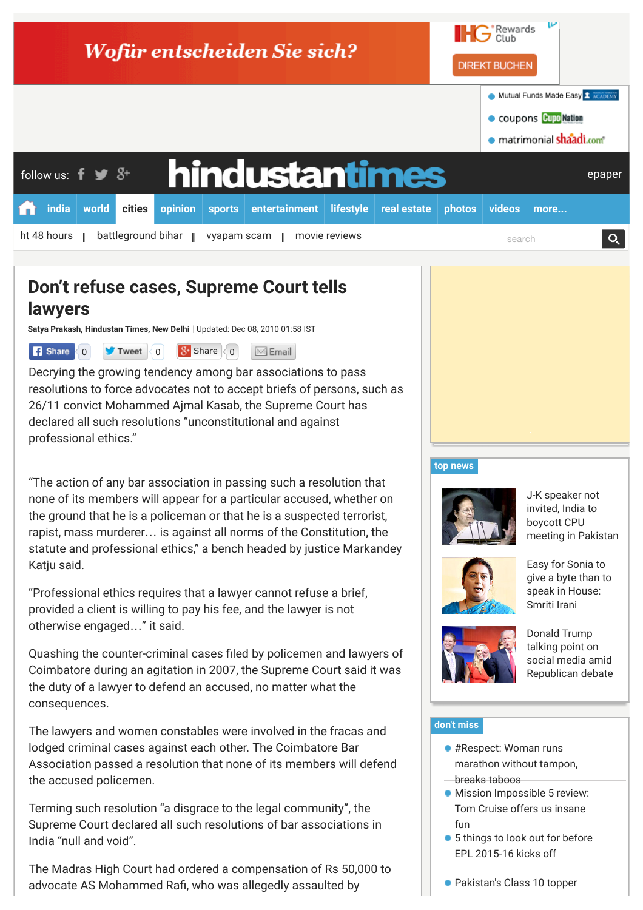

# **Don't refuse cases, Supreme Court tells lawyers**

**Satya Prakash, [Hindustan Times](http://www.hindustantimes.com/Search/Search.aspx?op=story&pt=all&auth=Hindustan%20Times), New Delhi** | Updated: Dec 08, 2010 01:58 IST



Decrying the growing tendency among bar associations to pass resolutions to force advocates not to accept briefs of persons, such as 26/11 convict Mohammed Ajmal Kasab, the Supreme Court has declared all such resolutions "unconstitutional and against professional ethics."

"The action of any bar association in passing such a resolution that none of its members will appear for a particular accused, whether on the ground that he is a policeman or that he is a suspected terrorist, rapist, mass murderer… is against all norms of the Constitution, the statute and professional ethics," a bench headed by justice Markandey Katju said.

"Professional ethics requires that a lawyer cannot refuse a brief, provided a client is willing to pay his fee, and the lawyer is not otherwise engaged…" it said.

Quashing the counter-criminal cases filed by policemen and lawyers of Coimbatore during an agitation in 2007, the Supreme Court said it was the duty of a lawyer to defend an accused, no matter what the consequences.

The lawyers and women constables were involved in the fracas and lodged criminal cases against each other. The Coimbatore Bar Association passed a resolution that none of its members will defend the accused policemen.

Terming such resolution "a disgrace to the legal community", the Supreme Court declared all such resolutions of bar associations in India "null and void".

The Madras High Court had ordered a compensation of Rs 50,000 to advocate AS Mohammed Rafi, who was allegedly assaulted by

#### **[top news](http://www.hindustantimes.com/homepage/homepage-topstories/lid.aspx)**



J-K speaker not invited, India to boycott CPU [meeting in Pakistan](http://www.hindustantimes.com/india-news/j-k-speaker-not-invited-india-to-boycott-cpu-meeting-in-pakistan/article1-1377617.aspx)



Easy for Sonia to [give a byte than to](http://www.hindustantimes.com/india-news/easy-for-sonia-gandhi-to-give-a-byte-than-to-speak-in-house-smriti-irani/article1-1377517.aspx) speak in House: Smriti Irani



Donald Trump talking point on social media amid [Republican debate](http://www.hindustantimes.com/world-news/us-donald-trump-talking-point-on-social-media-amid-republican-presidential-debate/article1-1377631.aspx)

### **[don't miss](http://www.hindustantimes.com/homepage/chunk-ht-ui-common-dontmiss/lid.aspx)**

- #Respect: Woman runs [marathon without tampon,](http://www.hindustantimes.com/wellness/respect-woman-runs-marathon-without-tampon-breaks-taboos/article1-1377623.aspx?li_source=base&li_medium=dont-miss&li_campaign=related-test)
- breaks taboos
- **[Mission Impossible 5 review:](http://www.hindustantimes.com/movie-reviews/mission-impossible-5-review-tom-cruise-and-his-action-franchise-just-get-better-with-age/article1-1377015.aspx?li_source=base&li_medium=dont-miss&li_campaign=related-test)** Tom Cruise offers us insane fun
- [5 things to look out for before](http://www.hindustantimes.com/football/5-things-to-look-out-for-before-epl-2015-16-kicks-off/article1-1377506.aspx?li_source=base&li_medium=dont-miss&li_campaign=related-test) EPL 2015-16 kicks off

[Pakistan's Class 10 topper](http://www.hindustantimes.com/highschool/pakistan-sikh-girl-topper-of-class-10-exam-gets-rs-1-lakh-reward/article1-1377548.aspx?li_source=base&li_medium=dont-miss&li_campaign=related-test)